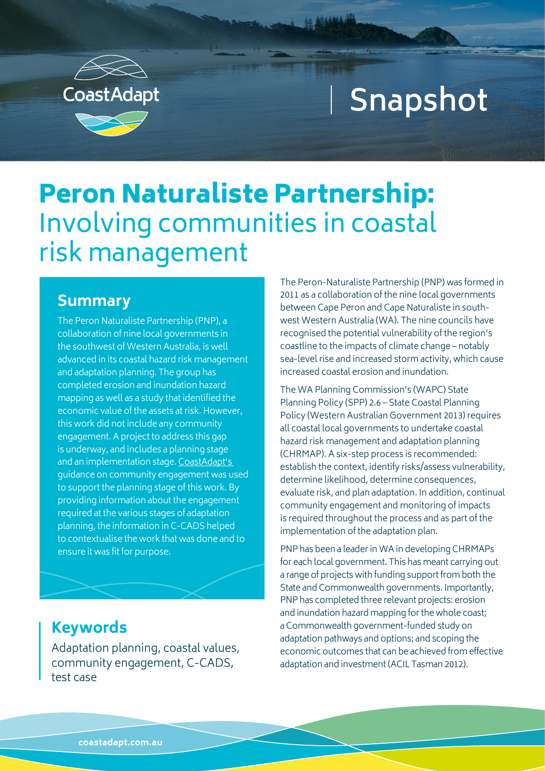

# **Snapshot**

# Peron Naturaliste Partnership: Involving communities in coastal risk management

#### **Summary**

The Peron Naturaliste Partnership (PNP), a collaboration of nine local governments in the southwest of Western Australia, is well advanced in its coastal hazard risk management and adaptation planning. The group has completed erosion and inundation hazard mapping as well as a study that identified the economic value of the assets at risk. However, this work did not include any community engagement. A project to address this gap is underway, and includes a planning stage and an implementation stage. [CoastAdapt's](https://coastadapt.com.au/sites/default/files/information-manual/IM09_community_engagement.pdf)  guidance on community engagement was used to support the planning stage of this work. By providing information about the engagement required at the various stages of adaptation planning, the information in C-CADS helped to contextualise the work that was done and to ensure it was fit for purpose.

The Peron-Naturaliste Partnership (PNP) was formed in 2011 as a collaboration of the nine local governments between Cape Peron and Cape Naturaliste in southwest Western Australia (WA). The nine councils have recognised the potential vulnerability of the region's coastline to the impacts of climate change – notably sea-level rise and increased storm activity, which cause increased coastal erosion and inundation.

The WA Planning Commission's (WAPC) State Planning Policy (SPP) 2.6 – State Coastal Planning Policy (Western Australian Government 2013) requires all coastal local governments to undertake coastal hazard risk management and adaptation planning (CHRMAP). A six-step process is recommended: establish the context, identify risks/assess vulnerability, determine likelihood, determine consequences, evaluate risk, and plan adaptation. In addition, continual community engagement and monitoring of impacts is required throughout the process and as part of the implementation of the adaptation plan.

PNP has been a leader in WA in developing CHRMAPs for each local government. This has meant carrying out a range of projects with funding support from both the State and Commonwealth governments. Importantly, PNP has completed three relevant projects: erosion and inundation hazard mapping for the whole coast; a Commonwealth government-funded study on adaptation pathways and options; and scoping the economic outcomes that can be achieved from effective adaptation and investment (ACIL Tasman 2012).

#### **Keywords**

Adaptation planning, coastal values, community engagement, C-CADS, test case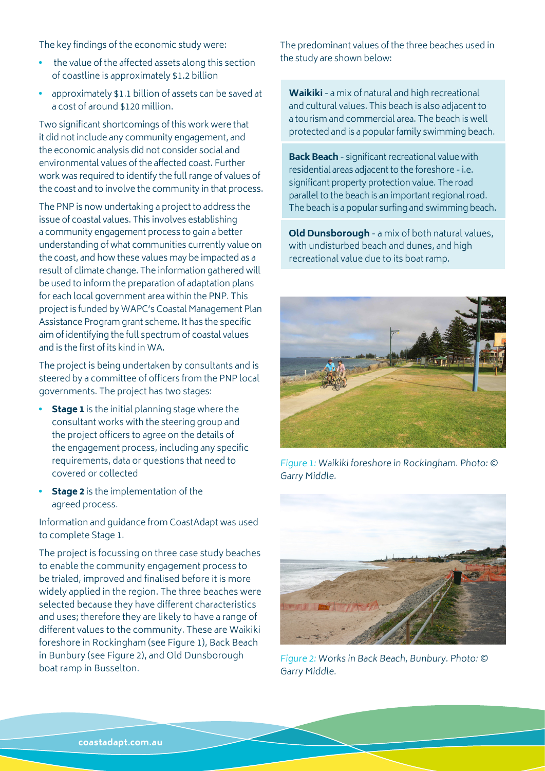The key findings of the economic study were:

- the value of the affected assets along this section of coastline is approximately \$1.2 billion
- approximately \$1.1 billion of assets can be saved at a cost of around \$120 million.

Two significant shortcomings of this work were that it did not include any community engagement, and the economic analysis did not consider social and environmental values of the affected coast. Further work was required to identify the full range of values of the coast and to involve the community in that process.

The PNP is now undertaking a project to address the issue of coastal values. This involves establishing a community engagement process to gain a better understanding of what communities currently value on the coast, and how these values may be impacted as a result of climate change. The information gathered will be used to inform the preparation of adaptation plans for each local government area within the PNP. This project is funded by WAPC's Coastal Management Plan Assistance Program grant scheme. It has the specific aim of identifying the full spectrum of coastal values and is the first of its kind in WA.

The project is being undertaken by consultants and is steered by a committee of officers from the PNP local governments. The project has two stages:

- **Stage 1** is the initial planning stage where the consultant works with the steering group and the project officers to agree on the details of the engagement process, including any specific requirements, data or questions that need to covered or collected
- **Stage 2** is the implementation of the agreed process.

Information and guidance from CoastAdapt was used to complete Stage 1.

The project is focussing on three case study beaches to enable the community engagement process to be trialed, improved and finalised before it is more widely applied in the region. The three beaches were selected because they have different characteristics and uses; therefore they are likely to have a range of different values to the community. These are Waikiki foreshore in Rockingham (see Figure 1), Back Beach in Bunbury (see Figure 2), and Old Dunsborough boat ramp in Busselton.

The predominant values of the three beaches used in the study are shown below:

**Waikiki** - a mix of natural and high recreational and cultural values. This beach is also adjacent to a tourism and commercial area. The beach is well protected and is a popular family swimming beach.

**Back Beach** - significant recreational value with residential areas adjacent to the foreshore - i.e. significant property protection value. The road parallel to the beach is an important regional road. The beach is a popular surfing and swimming beach.

**Old Dunsborough** - a mix of both natural values, with undisturbed beach and dunes, and high recreational value due to its boat ramp.



Figure 1: Waikiki foreshore in Rockingham. Photo: © Garry Middle.



Figure 2: Works in Back Beach, Bunbury. Photo: © Garry Middle.